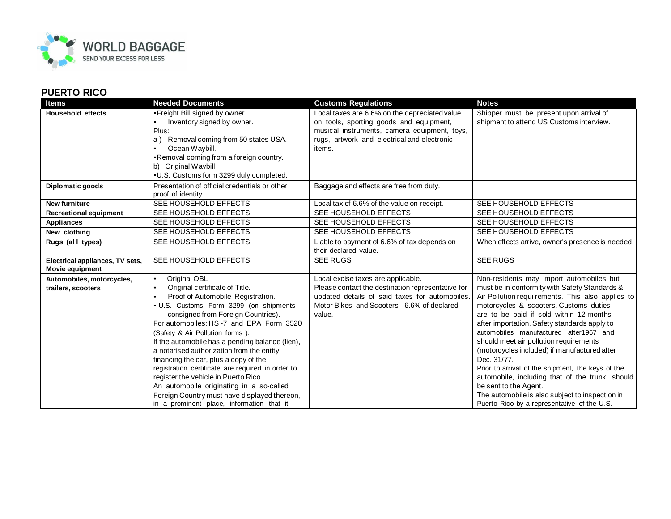

## **PUERTO RICO**

| Items                                              | <b>Needed Documents</b>                                                                                                                                                                                                                                                                                                                                                                                                                                                                                                                                                                                                                                                 | <b>Customs Regulations</b>                                                                                                                                                                         | <b>Notes</b>                                                                                                                                                                                                                                                                                                                                                                                                                                                                                                                                                                                                                                                              |
|----------------------------------------------------|-------------------------------------------------------------------------------------------------------------------------------------------------------------------------------------------------------------------------------------------------------------------------------------------------------------------------------------------------------------------------------------------------------------------------------------------------------------------------------------------------------------------------------------------------------------------------------------------------------------------------------------------------------------------------|----------------------------------------------------------------------------------------------------------------------------------------------------------------------------------------------------|---------------------------------------------------------------------------------------------------------------------------------------------------------------------------------------------------------------------------------------------------------------------------------------------------------------------------------------------------------------------------------------------------------------------------------------------------------------------------------------------------------------------------------------------------------------------------------------------------------------------------------------------------------------------------|
| <b>Household effects</b>                           | •Freight Bill signed by owner.<br>Inventory signed by owner.<br>Plus:<br>a) Removal coming from 50 states USA.<br>Ocean Waybill.<br>•Removal coming from a foreign country.<br>b) Original Waybill<br>•U.S. Customs form 3299 duly completed.                                                                                                                                                                                                                                                                                                                                                                                                                           | Local taxes are 6.6% on the depreciated value<br>on tools, sporting goods and equipment,<br>musical instruments, camera equipment, toys,<br>rugs, artwork and electrical and electronic<br>items.  | Shipper must be present upon arrival of<br>shipment to attend US Customs interview.                                                                                                                                                                                                                                                                                                                                                                                                                                                                                                                                                                                       |
| Diplomatic goods                                   | Presentation of official credentials or other<br>proof of identity.                                                                                                                                                                                                                                                                                                                                                                                                                                                                                                                                                                                                     | Baggage and effects are free from duty.                                                                                                                                                            |                                                                                                                                                                                                                                                                                                                                                                                                                                                                                                                                                                                                                                                                           |
| <b>New furniture</b>                               | SEE HOUSEHOLD EFFECTS                                                                                                                                                                                                                                                                                                                                                                                                                                                                                                                                                                                                                                                   | Local tax of 6.6% of the value on receipt.                                                                                                                                                         | SEE HOUSEHOLD EFFECTS                                                                                                                                                                                                                                                                                                                                                                                                                                                                                                                                                                                                                                                     |
| <b>Recreational equipment</b>                      | SEE HOUSEHOLD EFFECTS                                                                                                                                                                                                                                                                                                                                                                                                                                                                                                                                                                                                                                                   | SEE HOUSEHOLD EFFECTS                                                                                                                                                                              | SEE HOUSEHOLD EFFECTS                                                                                                                                                                                                                                                                                                                                                                                                                                                                                                                                                                                                                                                     |
| <b>Appliances</b>                                  | SEE HOUSEHOLD EFFECTS                                                                                                                                                                                                                                                                                                                                                                                                                                                                                                                                                                                                                                                   | SEE HOUSEHOLD EFFECTS                                                                                                                                                                              | SEE HOUSEHOLD EFFECTS                                                                                                                                                                                                                                                                                                                                                                                                                                                                                                                                                                                                                                                     |
| New clothing                                       | SEE HOUSEHOLD EFFECTS                                                                                                                                                                                                                                                                                                                                                                                                                                                                                                                                                                                                                                                   | SEE HOUSEHOLD EFFECTS                                                                                                                                                                              | SEE HOUSEHOLD EFFECTS                                                                                                                                                                                                                                                                                                                                                                                                                                                                                                                                                                                                                                                     |
| Rugs (all types)                                   | SEE HOUSEHOLD EFFECTS                                                                                                                                                                                                                                                                                                                                                                                                                                                                                                                                                                                                                                                   | Liable to payment of 6.6% of tax depends on<br>their declared value.                                                                                                                               | When effects arrive, owner's presence is needed.                                                                                                                                                                                                                                                                                                                                                                                                                                                                                                                                                                                                                          |
| Electrical appliances, TV sets,<br>Movie equipment | SEE HOUSEHOLD EFFECTS                                                                                                                                                                                                                                                                                                                                                                                                                                                                                                                                                                                                                                                   | <b>SEE RUGS</b>                                                                                                                                                                                    | <b>SEE RUGS</b>                                                                                                                                                                                                                                                                                                                                                                                                                                                                                                                                                                                                                                                           |
| Automobiles, motorcycles,<br>trailers, scooters    | Original OBL<br>$\bullet$<br>Original certificate of Title.<br>$\bullet$<br>Proof of Automobile Registration.<br>$\bullet$<br>• U.S. Customs Form 3299 (on shipments<br>consigned from Foreign Countries).<br>For automobiles: HS-7 and EPA Form 3520<br>(Safety & Air Pollution forms).<br>If the automobile has a pending balance (lien),<br>a notarised authorization from the entity<br>financing the car, plus a copy of the<br>registration certificate are required in order to<br>register the vehicle in Puerto Rico.<br>An automobile originating in a so-called<br>Foreign Country must have displayed thereon,<br>in a prominent place, information that it | Local excise taxes are applicable.<br>Please contact the destination representative for<br>updated details of said taxes for automobiles.<br>Motor Bikes and Scooters - 6.6% of declared<br>value. | Non-residents may import automobiles but<br>must be in conformity with Safety Standards &<br>Air Pollution requi rements. This also applies to<br>motorcycles & scooters. Customs duties<br>are to be paid if sold within 12 months<br>after importation. Safety standards apply to<br>automobiles manufactured after1967 and<br>should meet air pollution requirements<br>(motorcycles included) if manufactured after<br>Dec. 31/77.<br>Prior to arrival of the shipment, the keys of the<br>automobile, including that of the trunk, should<br>be sent to the Agent.<br>The automobile is also subject to inspection in<br>Puerto Rico by a representative of the U.S. |